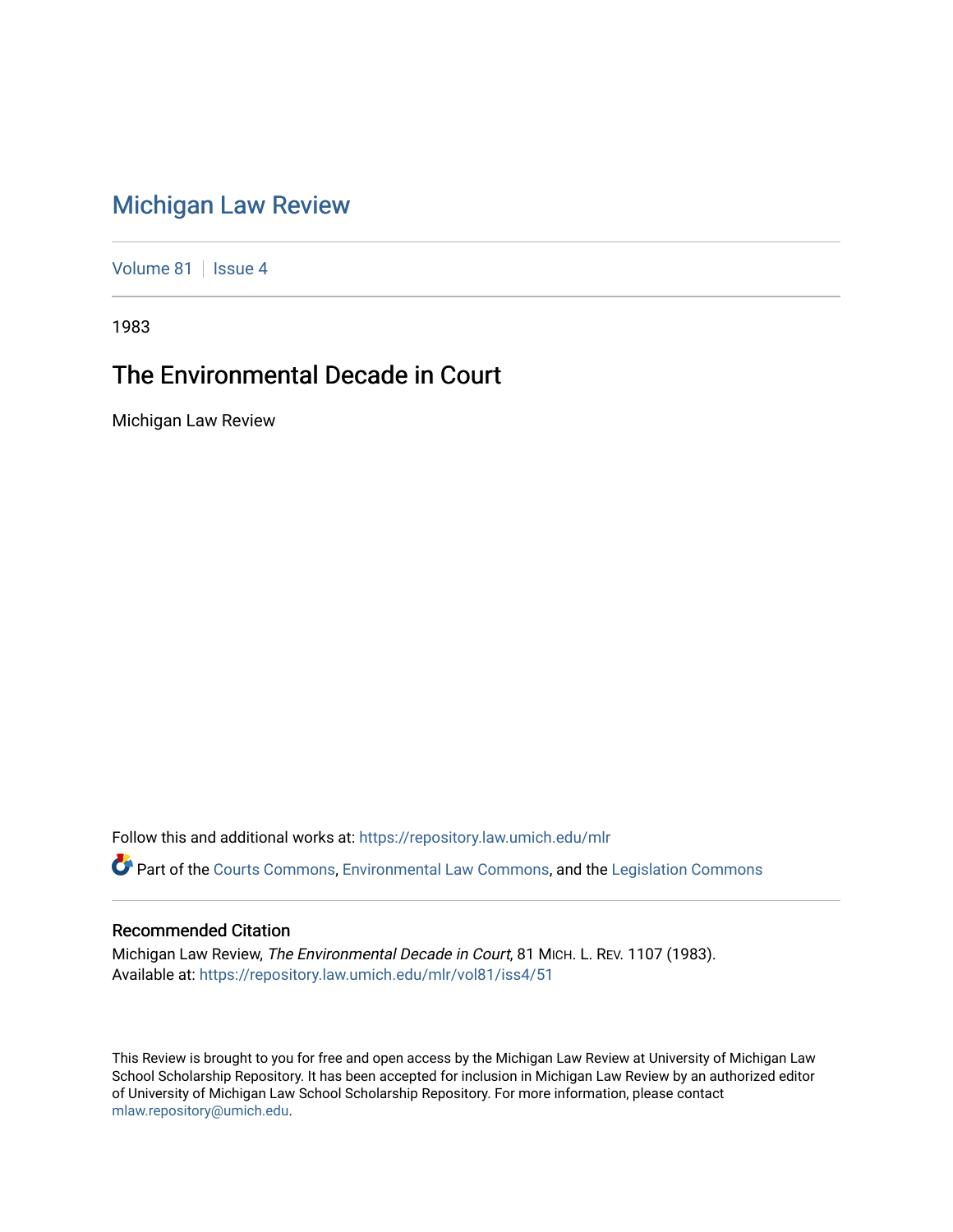## [Michigan Law Review](https://repository.law.umich.edu/mlr)

[Volume 81](https://repository.law.umich.edu/mlr/vol81) | [Issue 4](https://repository.law.umich.edu/mlr/vol81/iss4)

1983

## The Environmental Decade in Court

Michigan Law Review

Follow this and additional works at: [https://repository.law.umich.edu/mlr](https://repository.law.umich.edu/mlr?utm_source=repository.law.umich.edu%2Fmlr%2Fvol81%2Fiss4%2F51&utm_medium=PDF&utm_campaign=PDFCoverPages) 

Part of the [Courts Commons,](http://network.bepress.com/hgg/discipline/839?utm_source=repository.law.umich.edu%2Fmlr%2Fvol81%2Fiss4%2F51&utm_medium=PDF&utm_campaign=PDFCoverPages) [Environmental Law Commons](http://network.bepress.com/hgg/discipline/599?utm_source=repository.law.umich.edu%2Fmlr%2Fvol81%2Fiss4%2F51&utm_medium=PDF&utm_campaign=PDFCoverPages), and the [Legislation Commons](http://network.bepress.com/hgg/discipline/859?utm_source=repository.law.umich.edu%2Fmlr%2Fvol81%2Fiss4%2F51&utm_medium=PDF&utm_campaign=PDFCoverPages)

## Recommended Citation

Michigan Law Review, The Environmental Decade in Court, 81 MICH. L. REV. 1107 (1983). Available at: [https://repository.law.umich.edu/mlr/vol81/iss4/51](https://repository.law.umich.edu/mlr/vol81/iss4/51?utm_source=repository.law.umich.edu%2Fmlr%2Fvol81%2Fiss4%2F51&utm_medium=PDF&utm_campaign=PDFCoverPages) 

This Review is brought to you for free and open access by the Michigan Law Review at University of Michigan Law School Scholarship Repository. It has been accepted for inclusion in Michigan Law Review by an authorized editor of University of Michigan Law School Scholarship Repository. For more information, please contact [mlaw.repository@umich.edu.](mailto:mlaw.repository@umich.edu)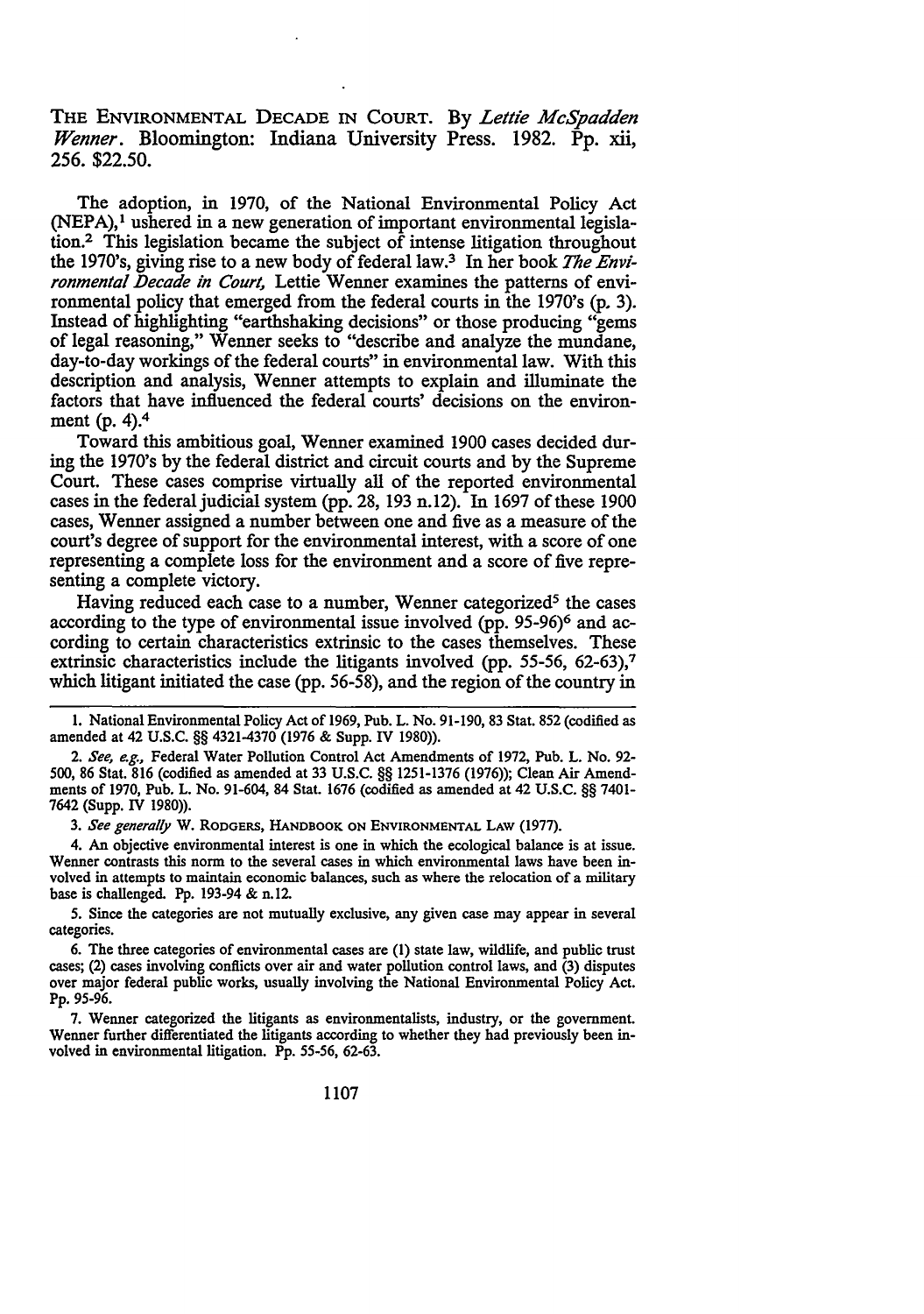THE ENVIRONMENTAL DECADE IN COURT. By *Lettie Mcspadden Wenner.* Bloomington: Indiana University Press. 1982. Pp. xii, 256. \$22.50.

The adoption, in 1970, of the National Environmental Policy Act (NEPA),<sup>1</sup> ushered in a new generation of important environmental legislation.<sup>2</sup> This legislation became the subject of intense litigation throughout the 1970's, giving rise to a new body of federal law.<sup>3</sup> In her book *The Environmental Decade in Court, Lettie Wenner examines the patterns of envi*ronmental policy that emerged from the federal courts in the 1970's (p. 3). Instead of highlighting "earthshaking decisions" or those producing "gems of legal reasoning," Wenner seeks to "describe and analyze the mundane, day-to-day workings of the federal courts" in environmental law. With this description and analysis, Wenner attempts to explain and illuminate the factors that have influenced the federal courts' decisions on the environment (p. 4).<sup>4</sup>

Toward this ambitious goal, Wenner examined 1900 cases decided during the 1970's by the federal district and circuit courts and by the Supreme Court. These cases comprise virtually all of the reported environmental cases in the federal judicial system (pp. 28, 193 n.12). In 1697 of these 1900 cases, Wenner assigned a number between one and five as a measure of the court's degree of support for the environmental interest, with a score of one representing a complete loss for the environment and a score of five representing a complete victory.

Having reduced each case to a number, Wenner categorized<sup>5</sup> the cases according to the type of environmental issue involved (pp. 95-96)<sup>6</sup> and according to certain characteristics extrinsic to the cases themselves. These extrinsic characteristics include the litigants involved (pp. 55-56, 62-63),<sup>7</sup> which litigant initiated the case (pp. 56-58), and the region of the country in

2. *See, e.g.,* Federal Water Pollution Control Act Amendments of 1972, Pub. L. No. 92- 500, 86 Stat. 816 (codified as amended at 33 U.S.C. §§ 1251-1376 (1976)); Clean Air Amendments of 1970, Pub. L. No. 91-604, 84 Stat. 1676 (codified as amended at 42 U.S.C. §§ 7401- 7642 (Supp. IV 1980)).

3. *See generally* W. RODGERS, HANDBOOK ON ENVIRONMENTAL LAW (1977).

4. An objective environmental interest is one in which the ecological balance is at issue. Wenner contrasts this norm to the several cases in which environmental laws have been involved in attempts to maintain economic balances, such as where the relocation of a military base is challenged. Pp. 193-94 & n.12.

5. Since the categories are not mutually exclusive, any given case may appear in several categories.

6. The three categories of environmental cases are (1) state law, wildlife, and public trust cases; (2) cases involving conflicts over air and water pollution control laws, and (3) disputes over major federal public works, usually involving the National Environmental Policy Act. Pp. 95-96.

7. Wenner categorized the litigants as environmentalists, industry, or the government. Wenner further differentiated the litigants according to whether they had previously been involved in environmental litigation. Pp. 55-56, 62-63.

<sup>1.</sup> National Environmental Policy Act of 1969, Pub. L. No. 91-190, 83 Stat. 852 (codified as amended at 42 U.S.C. §§ 4321-4370 (1976 & Supp. IV 1980)).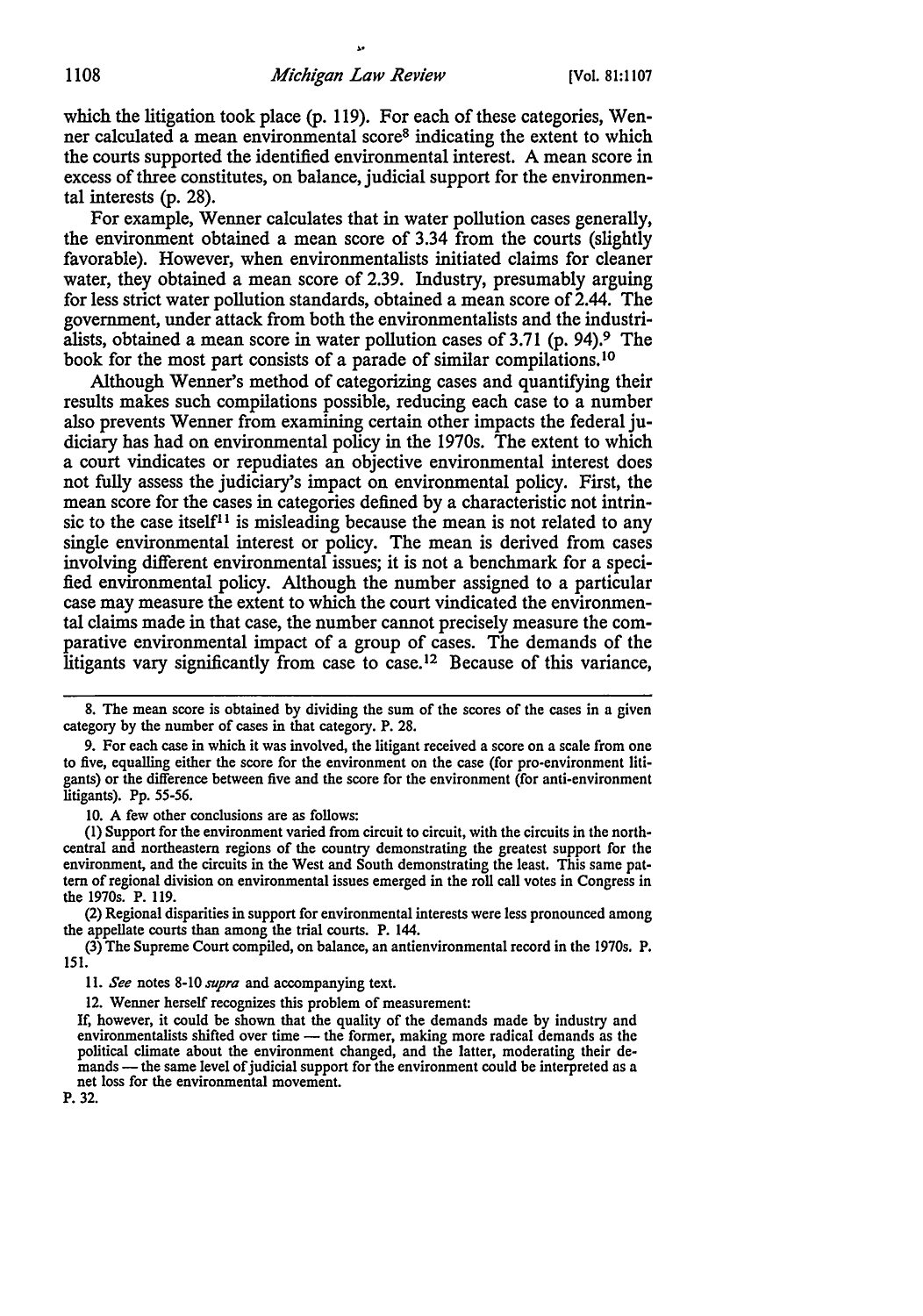which the litigation took place (p. 119). For each of these categories, Wenner calculated a mean environmental score8 indicating the extent to which the courts supported the identified environmental interest. A mean score in excess of three constitutes, on balance, judicial support for the environmental interests (p. 28).

For example, Wenner calculates that in water pollution cases generally, the environment obtained a mean score of 3.34 from the courts (slightly favorable). However, when environmentalists initiated claims for cleaner water, they obtained a mean score of 2.39. Industry, presumably arguing for less strict water pollution standards, obtained a mean score of 2.44. The government, under attack from both the environmentalists and the industrialists, obtained a mean score in water pollution cases of  $3.71$  (p. 94).<sup>9</sup> The book for the most part consists of a parade of similar compilations. <sup>10</sup>

Although Wenner's method of categorizing cases and quantifying their results makes such compilations possible, reducing each case to a number also prevents Wenner from examining certain other impacts the federal judiciary has had on environmental policy in the 1970s. The extent to which a court vindicates or repudiates an objective environmental interest does not fully assess the judiciary's impact on environmental policy. First, the mean score for the cases in categories defined by a characteristic not intrinsic to the case itself<sup>11</sup> is misleading because the mean is not related to any single environmental interest or policy. The mean is derived from cases involving different environmental issues; it is not a benchmark for a specified environmental policy. Although the number assigned to a particular case may measure the extent to which the court vindicated the environmental claims made in that case, the number cannot precisely measure the comparative environmental impact of a group of cases. The demands of the litigants vary significantly from case to case.<sup>12</sup> Because of this variance,

10. A few other conclusions are as follows:

(I) Support for the environment varied from circuit to circuit, with the circuits in the northcentral and northeastern regions of the country demonstrating the greatest support for the environment, and the circuits in the West and South demonstrating the least. This same pattern of regional division on environmental issues emerged in the roll call votes in Congress in the 1970s. P. 119.

(2) Regional disparities in support for environmental interests were less pronounced among the appellate courts than among the trial courts. P. 144.

(3) The Supreme Court compiled, on balance, an antienvironmental record in the 1970s. P. 151.

I 1. *See* notes 8-10 *supra* and accompanying text.

12. Wenner herself recognizes this problem of measurement:

P. 32.

<sup>8.</sup> The mean score is obtained by dividing the sum of the scores of the cases in a given category by the number of cases in that category. P. 28.

<sup>9.</sup> For each case in which it was involved, the litigant received a score on a scale from one to five, equalling either the score for the environment on the case (for pro-environment litigants) or the difference between five and the score for the environment (for anti-environment litigants). Pp. 55-56.

If, however, it could be shown that the quality of the demands made by industry and environmentalists shifted over time — the former, making more radical demands as the political climate about the environment changed, and the latter, moderating their demands - the same level of judicial support for the environment could be interpreted as a net loss for the environmental movement.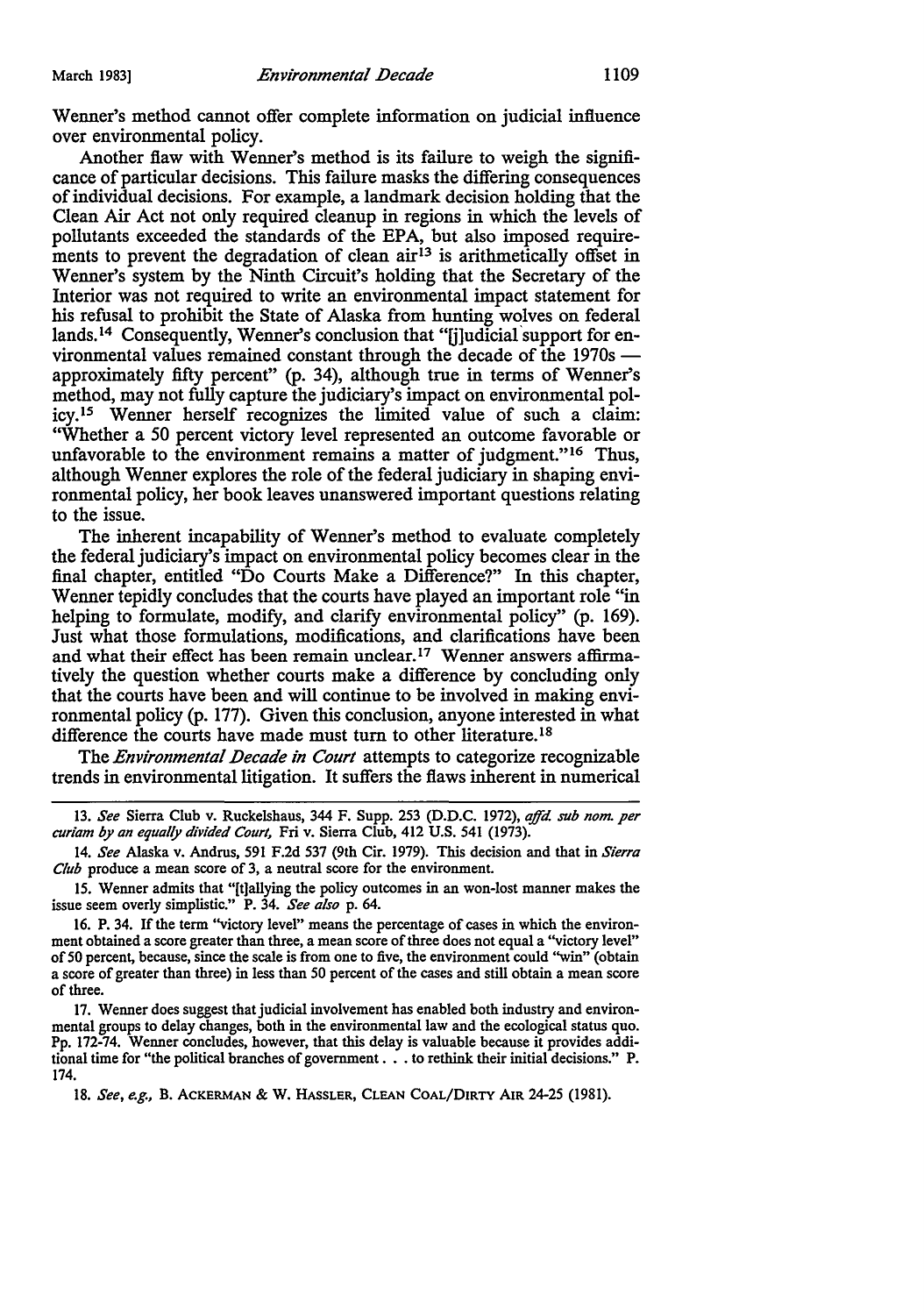Wenner's method cannot offer complete information on judicial influence over environmental policy.

Another flaw with Wenner's method is its failure to weigh the significance of particular decisions. This failure masks the differing consequences of individual decisions. For example, a landmark decision holding that the Clean Air Act not only required cleanup in regions in which the levels of pollutants exceeded the standards of the EPA, but also imposed requirements to prevent the degradation of clean  $\arctan^{13}$  is arithmetically offset in Wenner's system by the Ninth Circuit's holding that the Secretary of the Interior was not required to write an environmental impact statement for his refusal to prohibit the State of Alaska from hunting wolves on federal lands.<sup>14</sup> Consequently, Wenner's conclusion that "[j]udicial support for environmental values remained constant through the decade of the 1970s approximately fifty percent" (p. 34), although true in terms of Wenner's method, may not fully capture the judiciary's impact on environmental policy. Is Wenner herself recognizes the limited value of such a claim: "Whether a 50 percent victory level represented an outcome favorable or unfavorable to the environment remains a matter of judgment."<sup>16</sup> Thus, although Wenner explores the role of the federal judiciary in shaping environmental policy, her book leaves unanswered important questions relating to the issue.

The inherent incapability of Wenner's method to evaluate completely the federal judiciary's impact on environmental policy becomes clear in the final chapter, entitled "Do Courts Make a Difference?" In this chapter, Wenner tepidly concludes that the courts have played an important role "in helping to formulate, modify, and clarify environmental policy" (p. 169). Just what those formulations, modifications, and clarifications have been and what their effect has been remain unclear.<sup>17</sup> Wenner answers affirmatively the question whether courts make a difference by concluding only that the courts have been and will continue to be involved in making environmental policy (p. 177). Given this conclusion, anyone interested in what difference the courts have made must turn to other literature.<sup>18</sup>

The *Environmental Decade in Court* attempts to categorize recognizable trends in environmental litigation. It suffers the flaws inherent in numerical

18. *See, e.g.,* B. ACKERMAN & W. HASSLER, CLEAN COAL/DIRTY AIR 24-25 (1981).

<sup>13.</sup> *See* Sierra Club v. Ruckelshaus, 344 F. Supp. 253 (D.D.C. 1972), *ajfd sub nom. per curiam by an equally divided Court,* Fri v. Sierra Club, 412 U.S. 541 (1973).

<sup>14.</sup> *See* Alaska v. Andrus, 591 F.2d 537 (9th Cir. 1979). This decision and that in *Sierra Club* produce a mean score of 3, a neutral score for the environment.

<sup>15.</sup> Wenner admits that "[t]allying the policy outcomes in an won-lost manner makes the issue seem overly simplistic." P. 34. *See also* p. 64.

<sup>16.</sup> P. 34. If the term "victory level" means the percentage of cases in which the environment obtained a score greater than three, a mean score of three does not equal a "victory level" of50 percent, because, since the scale is from one to five, the environment could ''win" (obtain a score of greater than three) in less than 50 percent of the cases and still obtain a mean score of three.

<sup>17.</sup> Wenner does suggest that judicial involvement has enabled both industry and environmental groups to delay changes, both in the environmental law and the ecological status quo. Pp. 172-74. Wenner concludes, however, that this delay is valuable because it provides additional time for "the political branches of government  $\ldots$  to rethink their initial decisions." P. 174.